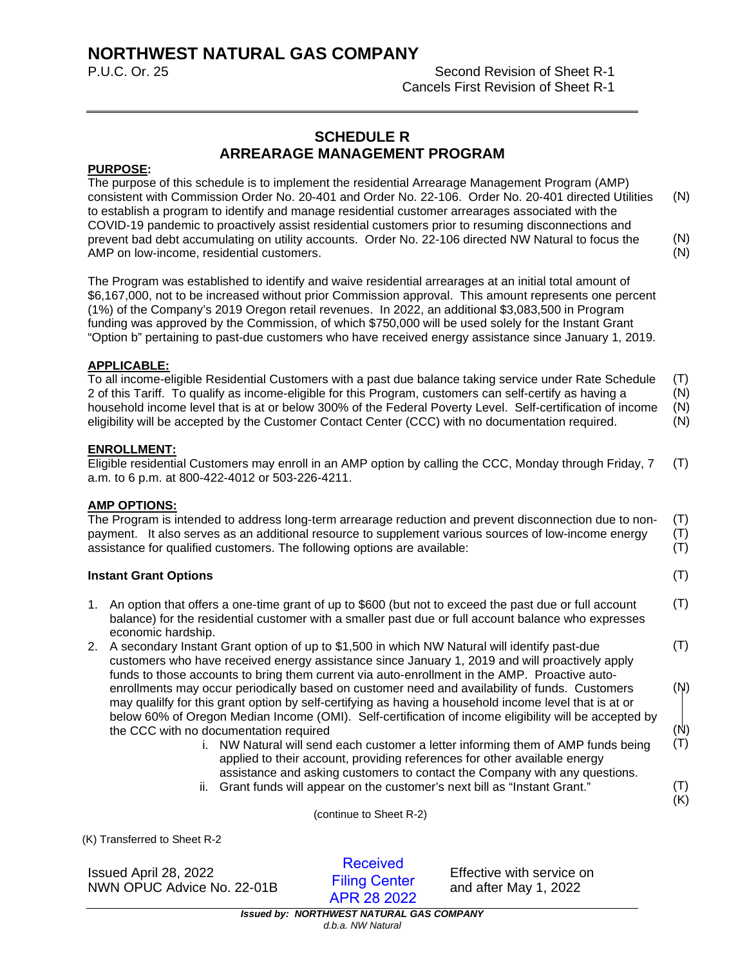# **NORTHWEST NATURAL GAS COMPANY**

**Second Revision of Sheet R-1** Cancels First Revision of Sheet R-1

# **SCHEDULE R ARREARAGE MANAGEMENT PROGRAM**

### **PURPOSE:**

The purpose of this schedule is to implement the residential Arrearage Management Program (AMP) consistent with Commission Order No. 20-401 and Order No. 22-106. Order No. 20-401 directed Utilities to establish a program to identify and manage residential customer arrearages associated with the COVID-19 pandemic to proactively assist residential customers prior to resuming disconnections and prevent bad debt accumulating on utility accounts. Order No. 22-106 directed NW Natural to focus the AMP on low-income, residential customers. (N) (N) (N)

The Program was established to identify and waive residential arrearages at an initial total amount of \$6,167,000, not to be increased without prior Commission approval. This amount represents one percent (1%) of the Company's 2019 Oregon retail revenues. In 2022, an additional \$3,083,500 in Program funding was approved by the Commission, of which \$750,000 will be used solely for the Instant Grant "Option b" pertaining to past-due customers who have received energy assistance since January 1, 2019.

## **APPLICABLE:**

To all income-eligible Residential Customers with a past due balance taking service under Rate Schedule 2 of this Tariff. To qualify as income-eligible for this Program, customers can self-certify as having a household income level that is at or below 300% of the Federal Poverty Level. Self-certification of income eligibility will be accepted by the Customer Contact Center (CCC) with no documentation required. (T) (N) (N) (N)

#### **ENROLLMENT:**

Eligible residential Customers may enroll in an AMP option by calling the CCC, Monday through Friday, 7 a.m. to 6 p.m. at 800-422-4012 or 503-226-4211. (T)

#### **AMP OPTIONS:**

The Program is intended to address long-term arrearage reduction and prevent disconnection due to nonpayment. It also serves as an additional resource to supplement various sources of low-income energy assistance for qualified customers. The following options are available: (T) (T) (T)

#### **Instant Grant Options**

- 1. An option that offers a one-time grant of up to \$600 (but not to exceed the past due or full account balance) for the residential customer with a smaller past due or full account balance who expresses economic hardship. (T)
- 2. A secondary Instant Grant option of up to \$1,500 in which NW Natural will identify past-due customers who have received energy assistance since January 1, 2019 and will proactively apply funds to those accounts to bring them current via auto-enrollment in the AMP. Proactive autoenrollments may occur periodically based on customer need and availability of funds. Customers may qualilfy for this grant option by self-certifying as having a household income level that is at or below 60% of Oregon Median Income (OMI). Self-certification of income eligibility will be accepted by the CCC with no documentation required (T) (N) (N)
	- i. NW Natural will send each customer a letter informing them of AMP funds being applied to their account, providing references for other available energy assistance and asking customers to contact the Company with any questions. (T)
	- ii. Grant funds will appear on the customer's next bill as "Instant Grant."

(continue to Sheet R-2)

(K) Transferred to Sheet R-2

Issued April 28, 2022 Effective with service on NWN OPUC Advice No. 22-01B **Elling Center** and after May 1, 2022

Received Filing Center APR 28 2022

(T)

(T) (K)

*Issued by: NORTHWEST NATURAL GAS COMPANY d.b.a. NW Natural*